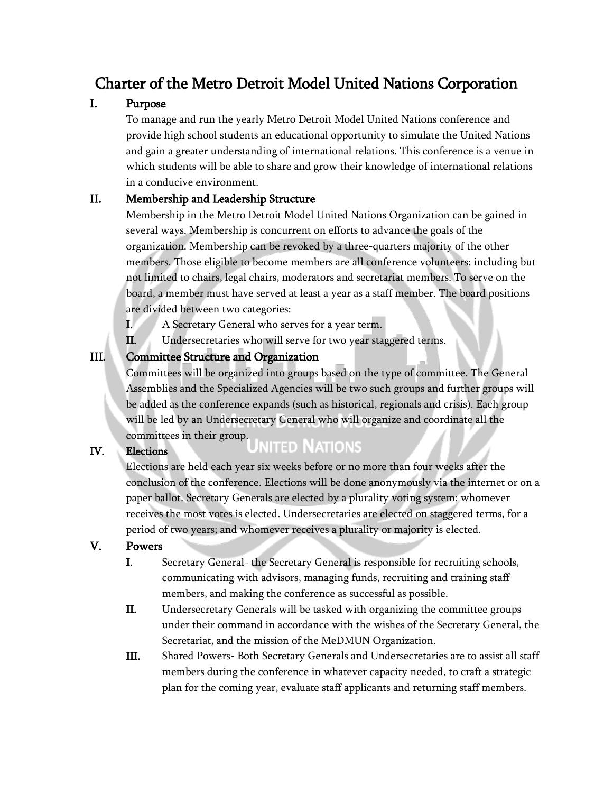# Charter of the Metro Detroit Model United Nations Corporation

## I. Purpose

To manage and run the yearly Metro Detroit Model United Nations conference and provide high school students an educational opportunity to simulate the United Nations and gain a greater understanding of international relations. This conference is a venue in which students will be able to share and grow their knowledge of international relations in a conducive environment.

#### II. Membership and Leadership Structure

Membership in the Metro Detroit Model United Nations Organization can be gained in several ways. Membership is concurrent on efforts to advance the goals of the organization. Membership can be revoked by a three-quarters majority of the other members. Those eligible to become members are all conference volunteers; including but not limited to chairs, legal chairs, moderators and secretariat members. To serve on the board, a member must have served at least a year as a staff member. The board positions are divided between two categories:

- I. A Secretary General who serves for a year term.
- II. Undersecretaries who will serve for two year staggered terms.

## III. Committee Structure and Organization

Committees will be organized into groups based on the type of committee. The General Assemblies and the Specialized Agencies will be two such groups and further groups will be added as the conference expands (such as historical, regionals and crisis). Each group will be led by an Undersecretary General who will organize and coordinate all the committees in their group.<br>Elections

# IV. Elections

Elections are held each year six weeks before or no more than four weeks after the conclusion of the conference. Elections will be done anonymously via the internet or on a paper ballot. Secretary Generals are elected by a plurality voting system; whomever receives the most votes is elected. Undersecretaries are elected on staggered terms, for a period of two years; and whomever receives a plurality or majority is elected.

#### V. Powers

- I. Secretary General- the Secretary General is responsible for recruiting schools, communicating with advisors, managing funds, recruiting and training staff members, and making the conference as successful as possible.
- II. Undersecretary Generals will be tasked with organizing the committee groups under their command in accordance with the wishes of the Secretary General, the Secretariat, and the mission of the MeDMUN Organization.
- III. Shared Powers- Both Secretary Generals and Undersecretaries are to assist all staff members during the conference in whatever capacity needed, to craft a strategic plan for the coming year, evaluate staff applicants and returning staff members.